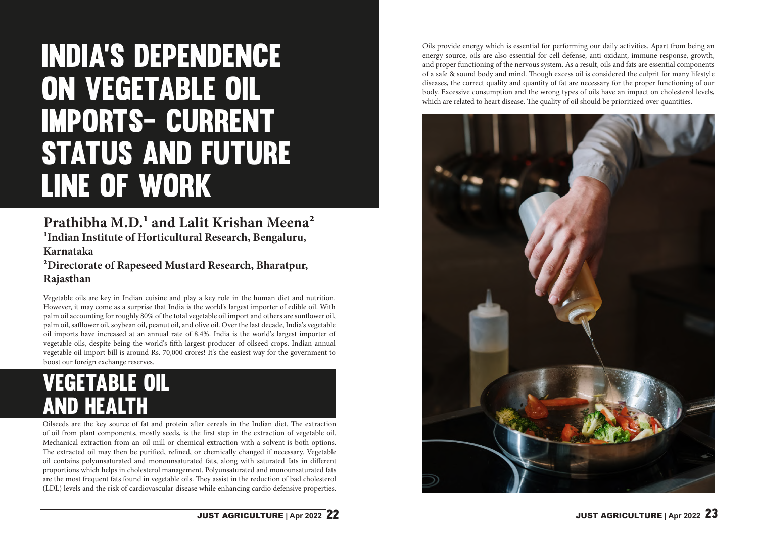# India's dependence on vegetable oil imports- Current STATUS AND FUTURE line of work

#### **Prathibha M.D.1 and Lalit Krishan Meena2 1Indian Institute of Horticultural Research, Bengaluru, Karnataka 2Directorate of Rapeseed Mustard Research, Bharatpur, Rajasthan**

Vegetable oils are key in Indian cuisine and play a key role in the human diet and nutrition. However, it may come as a surprise that India is the world's largest importer of edible oil. With palm oil accounting for roughly 80% of the total vegetable oil import and others are sunflower oil, palm oil, safflower oil, soybean oil, peanut oil, and olive oil. Over the last decade, India's vegetable oil imports have increased at an annual rate of 8.4%. India is the world's largest importer of vegetable oils, despite being the world's fifth-largest producer of oilseed crops. Indian annual vegetable oil import bill is around Rs. 70,000 crores! It's the easiest way for the government to boost our foreign exchange reserves.

Oilseeds are the key source of fat and protein after cereals in the Indian diet. The extraction of oil from plant components, mostly seeds, is the first step in the extraction of vegetable oil. Mechanical extraction from an oil mill or chemical extraction with a solvent is both options. The extracted oil may then be purified, refined, or chemically changed if necessary. Vegetable oil contains polyunsaturated and monounsaturated fats, along with saturated fats in different proportions which helps in cholesterol management. Polyunsaturated and monounsaturated fats are the most frequent fats found in vegetable oils. They assist in the reduction of bad cholesterol (LDL) levels and the risk of cardiovascular disease while enhancing cardio defensive properties.

## Vegetable oil and health

Oils provide energy which is essential for performing our daily activities. Apart from being an energy source, oils are also essential for cell defense, anti-oxidant, immune response, growth, and proper functioning of the nervous system. As a result, oils and fats are essential components of a safe & sound body and mind. Though excess oil is considered the culprit for many lifestyle diseases, the correct quality and quantity of fat are necessary for the proper functioning of our body. Excessive consumption and the wrong types of oils have an impact on cholesterol levels, which are related to heart disease. The quality of oil should be prioritized over quantities.

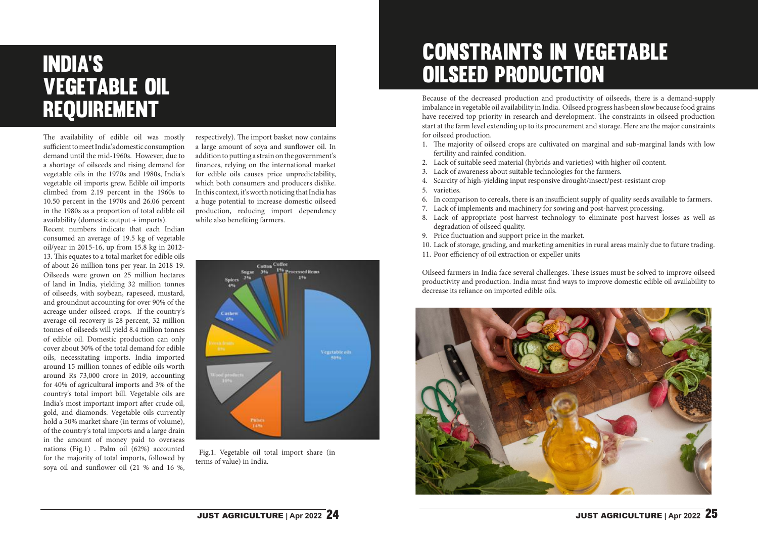## Constraints in vegetable oilseed production

Because of the decreased production and productivity of oilseeds, there is a demand-supply imbalance in vegetable oil availability in India. Oilseed progress has been slow because food grains have received top priority in research and development. The constraints in oilseed production start at the farm level extending up to its procurement and storage. Here are the major constraints for oilseed production.

- 1. The majority of oilseed crops are cultivated on marginal and sub-marginal lands with low fertility and rainfed condition.
- 2. Lack of suitable seed material (hybrids and varieties) with higher oil content. 3. Lack of awareness about suitable technologies for the farmers. 4. Scarcity of high-yielding input responsive drought/insect/pest-resistant crop
- 
- 5. varieties.
- 6. In comparison to cereals, there is an insufficient supply of quality seeds available to farmers. 7. Lack of implements and machinery for sowing and post-harvest processing. 8. Lack of appropriate post-harvest technology to eliminate post-harvest losses as well as
- 
- degradation of oilseed quality.
- 9. Price fluctuation and support price in the market.
- 10. Lack of storage, grading, and marketing amenities in rural areas mainly due to future trading. 11. Poor efficiency of oil extraction or expeller units
- 

Oilseed farmers in India face several challenges. These issues must be solved to improve oilseed productivity and production. India must find ways to improve domestic edible oil availability to decrease its reliance on imported edible oils.



#### **JUST AGRICULTURE** | Apr 2022 **24 JUST AGRICULTURE** | Apr 2022 **25**



 Fig.1. Vegetable oil total import share (in terms of value) in India.

respectively). The import basket now contains a large amount of soya and sunflower oil. In addition to putting a strain on the government's finances, relying on the international market for edible oils causes price unpredictability, which both consumers and producers dislike. In this context, it's worth noticing that India has a huge potential to increase domestic oilseed production, reducing import dependency while also benefiting farmers.

The availability of edible oil was mostly sufficient to meet India's domestic consumption demand until the mid-1960s. However, due to a shortage of oilseeds and rising demand for vegetable oils in the 1970s and 1980s, India's vegetable oil imports grew. Edible oil imports climbed from 2.19 percent in the 1960s to 10.50 percent in the 1970s and 26.06 percent in the 1980s as a proportion of total edible oil availability (domestic output + imports).

Recent numbers indicate that each Indian consumed an average of 19.5 kg of vegetable oil/year in 2015-16, up from 15.8 kg in 2012- 13. This equates to a total market for edible oils of about 26 million tons per year. In 2018-19. Oilseeds were grown on 25 million hectares of land in India, yielding 32 million tonnes of oilseeds, with soybean, rapeseed, mustard, and groundnut accounting for over 90% of the acreage under oilseed crops. If the country's average oil recovery is 28 percent, 32 million tonnes of oilseeds will yield 8.4 million tonnes of edible oil. Domestic production can only cover about 30% of the total demand for edible oils, necessitating imports. India imported around 15 million tonnes of edible oils worth around Rs 73,000 crore in 2019, accounting for 40% of agricultural imports and 3% of the country's total import bill. Vegetable oils are India's most important import after crude oil, gold, and diamonds. Vegetable oils currently hold a 50% market share (in terms of volume), of the country's total imports and a large drain in the amount of money paid to overseas nations (Fig.1) . Palm oil (62%) accounted for the majority of total imports, followed by soya oil and sunflower oil (21 % and 16 %,

## India's vegetable oil requirement